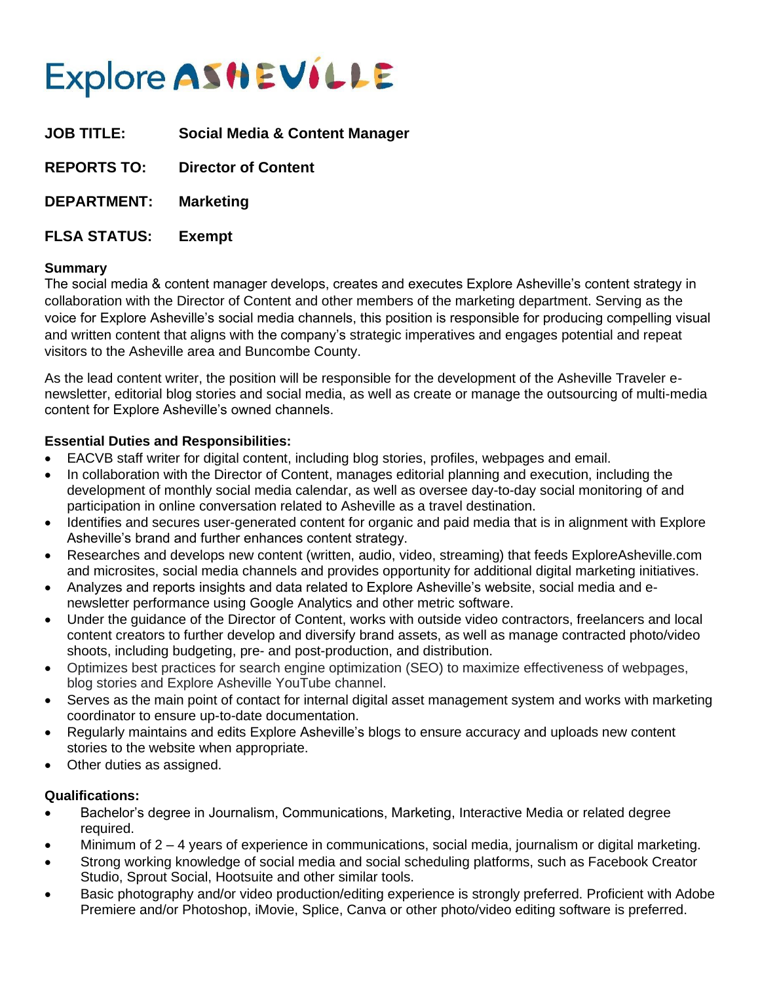# Explore ASHEVILLE

**JOB TITLE: Social Media & Content Manager**

**REPORTS TO: Director of Content**

**DEPARTMENT: Marketing** 

**FLSA STATUS: Exempt**

## **Summary**

The social media & content manager develops, creates and executes Explore Asheville's content strategy in collaboration with the Director of Content and other members of the marketing department. Serving as the voice for Explore Asheville's social media channels, this position is responsible for producing compelling visual and written content that aligns with the company's strategic imperatives and engages potential and repeat visitors to the Asheville area and Buncombe County.

As the lead content writer, the position will be responsible for the development of the Asheville Traveler enewsletter, editorial blog stories and social media, as well as create or manage the outsourcing of multi-media content for Explore Asheville's owned channels.

## **Essential Duties and Responsibilities:**

- EACVB staff writer for digital content, including blog stories, profiles, webpages and email.
- In collaboration with the Director of Content, manages editorial planning and execution, including the development of monthly social media calendar, as well as oversee day-to-day social monitoring of and participation in online conversation related to Asheville as a travel destination.
- Identifies and secures user-generated content for organic and paid media that is in alignment with Explore Asheville's brand and further enhances content strategy.
- Researches and develops new content (written, audio, video, streaming) that feeds ExploreAsheville.com and microsites, social media channels and provides opportunity for additional digital marketing initiatives.
- Analyzes and reports insights and data related to Explore Asheville's website, social media and enewsletter performance using Google Analytics and other metric software.
- Under the guidance of the Director of Content, works with outside video contractors, freelancers and local content creators to further develop and diversify brand assets, as well as manage contracted photo/video shoots, including budgeting, pre- and post-production, and distribution.
- Optimizes best practices for search engine optimization (SEO) to maximize effectiveness of webpages, blog stories and Explore Asheville YouTube channel.
- Serves as the main point of contact for internal digital asset management system and works with marketing coordinator to ensure up-to-date documentation.
- Regularly maintains and edits Explore Asheville's blogs to ensure accuracy and uploads new content stories to the website when appropriate.
- Other duties as assigned.

## **Qualifications:**

- Bachelor's degree in Journalism, Communications, Marketing, Interactive Media or related degree required.
- Minimum of 2 4 years of experience in communications, social media, journalism or digital marketing.
- Strong working knowledge of social media and social scheduling platforms, such as Facebook Creator Studio, Sprout Social, Hootsuite and other similar tools.
- Basic photography and/or video production/editing experience is strongly preferred. Proficient with Adobe Premiere and/or Photoshop, iMovie, Splice, Canva or other photo/video editing software is preferred.